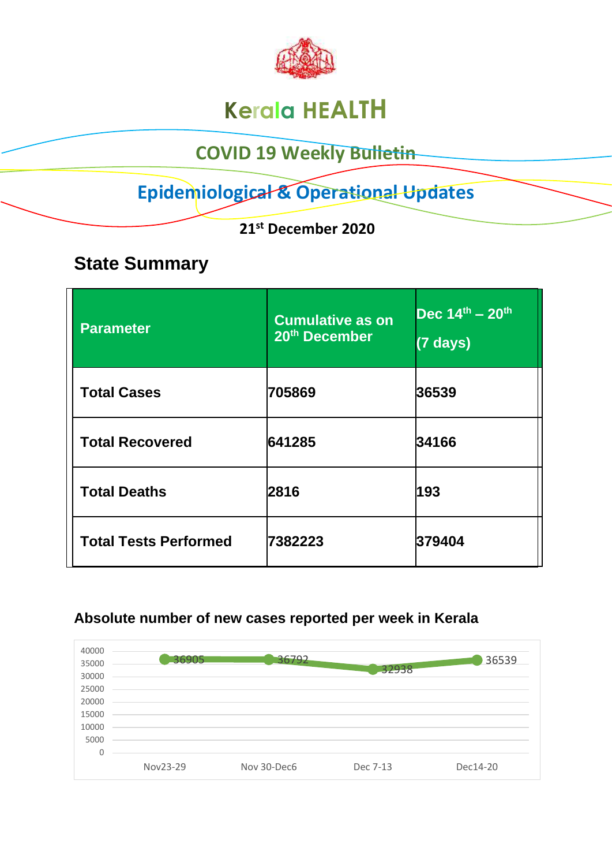

# **Kerala HEALTH**

### **COVID 19 Weekly Bulletin**

## **Epidemiological & Operational Updates**

 **21st December 2020**

### **State Summary**

| <b>Parameter</b>             | <b>Cumulative as on</b><br>20 <sup>th</sup> December | $Dec 14th - 20th$<br>$(7 \text{ days})$ |
|------------------------------|------------------------------------------------------|-----------------------------------------|
| <b>Total Cases</b>           | 705869                                               | 36539                                   |
| <b>Total Recovered</b>       | 641285                                               | 34166                                   |
| <b>Total Deaths</b>          | 2816                                                 | 193                                     |
| <b>Total Tests Performed</b> | 7382223                                              | 379404                                  |

#### **Absolute number of new cases reported per week in Kerala**

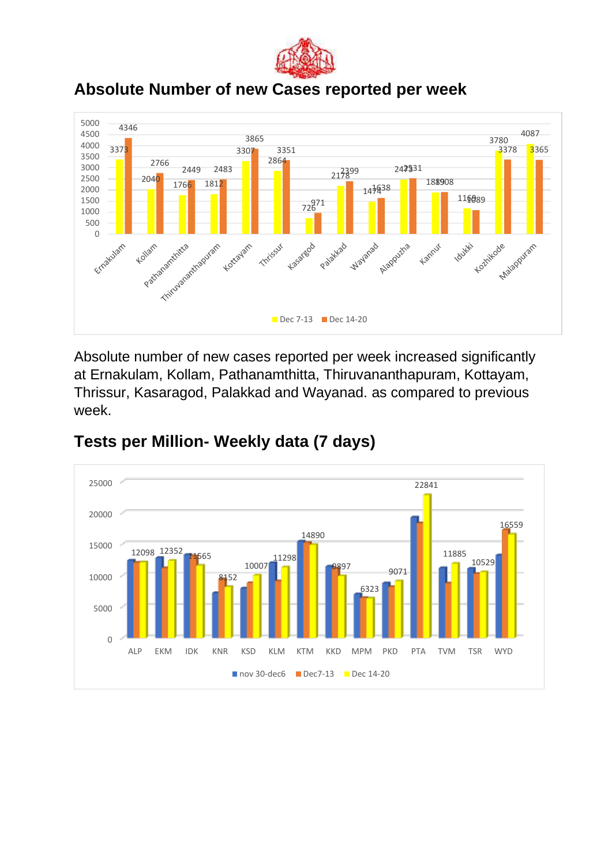

#### **Absolute Number of new Cases reported per week**



Absolute number of new cases reported per week increased significantly at Ernakulam, Kollam, Pathanamthitta, Thiruvananthapuram, Kottayam, Thrissur, Kasaragod, Palakkad and Wayanad. as compared to previous week.



#### **Tests per Million- Weekly data (7 days)**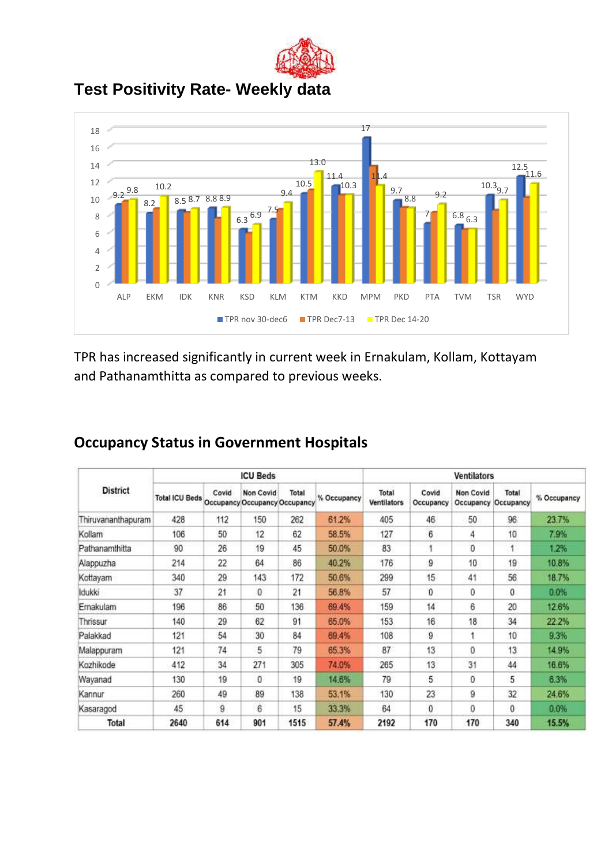

**Test Positivity Rate- Weekly data**



TPR has increased significantly in current week in Ernakulam, Kollam, Kottayam and Pathanamthitta as compared to previous weeks.

|                    |                       |       | <b>ICU Beds</b> |                                        |             |                      |                    | <b>Ventilators</b>                   |                    |             |
|--------------------|-----------------------|-------|-----------------|----------------------------------------|-------------|----------------------|--------------------|--------------------------------------|--------------------|-------------|
| <b>District</b>    | <b>Total ICU Beds</b> | Covid | Non Covid       | Total<br>Occupancy Occupancy Occupancy | % Occupancy | Total<br>Ventilators | Covid<br>Occupancy | <b>Non Covid</b><br><b>Occupancy</b> | Total<br>Occupancy | % Occupancy |
| Thiruvananthapuram | 428                   | 112   | 150             | 262                                    | 61.2%       | 405                  | 46                 | 50                                   | 96                 | 23.7%       |
| Kollam             | 106                   | 50    | 12              | 62                                     | 58.5%       | 127                  | 6                  | 4                                    | 10                 | 7.9%        |
| Pathanamthitta     | 90                    | 26    | 19              | 45                                     | 50.0%       | 83                   |                    | 0                                    |                    | 1.2%        |
| Alappuzha          | 214                   | 22    | 64              | 86                                     | 40.2%       | 176                  | 9                  | 10 <sub>10</sub>                     | 19                 | 10.8%       |
| Kottayam           | 340                   | 29    | 143             | 172                                    | 50.6%       | 299                  | 15                 | 41                                   | 56                 | 18.7%       |
| ldukki             | 37                    | 21    | 0               | 21                                     | 56.8%       | 57                   | 0                  | 0                                    | 0                  | 0.0%        |
| Ernakulam          | 196                   | 86    | 50              | 136                                    | 69.4%       | 159                  | 14                 | 6                                    | 20                 | 12.6%       |
| Thrissur           | 140                   | 29    | 62              | 91                                     | 65.0%       | 153                  | 16                 | 18                                   | 34                 | 22.2%       |
| Palakkad           | 121                   | 54    | 30              | 84                                     | 69.4%       | 108                  | 9                  |                                      | 10                 | 9.3%        |
| Malappuram         | 121                   | 74    | 5               | 79                                     | 65.3%       | 87                   | 13                 | $\theta$                             | 13                 | 14.9%       |
| Kozhikode          | 412                   | 34    | 271             | 305                                    | 74.0%       | 265                  | 13                 | 31                                   | 44                 | 16.6%       |
| Wayanad            | 130                   | 19    | 0               | 19                                     | 14.6%       | 79                   | 5                  | 0                                    | 5                  | 6.3%        |
| Kannur             | 260                   | 49    | 89              | 138                                    | 53.1%       | 130                  | 23                 | 9                                    | 32                 | 24.6%       |
| Kasaragod          | 45                    | 9     | 6               | 15                                     | 33.3%       | 64                   | 0                  | 0                                    | 0                  | 0.0%        |
| Total              | 2640                  | 614   | 901             | 1515                                   | 57.4%       | 2192                 | 170                | 170                                  | 340                | 15.5%       |

#### **Occupancy Status in Government Hospitals**